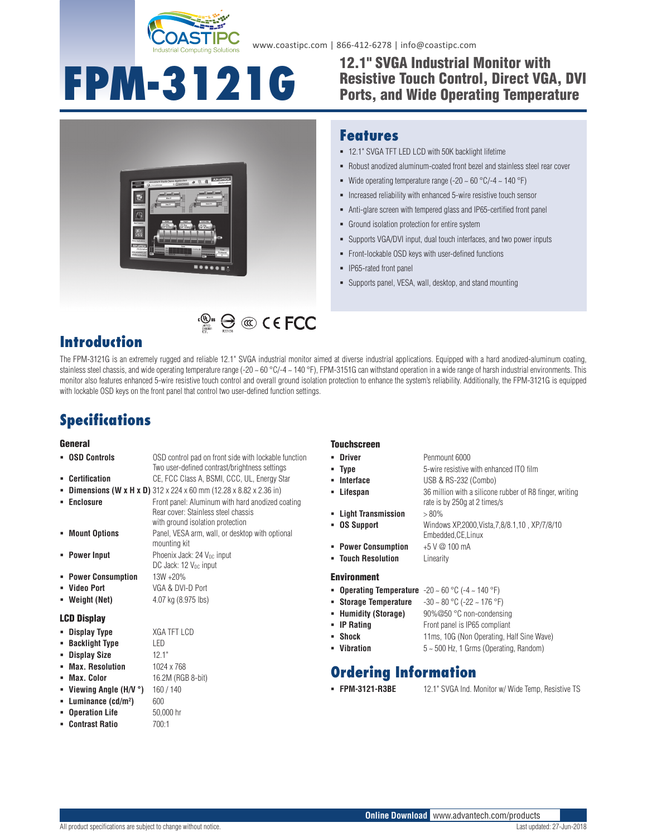

www.coastipc.com | 866-412-6278 | info@coastipc.com

# **FPM-3121G**

## 12.1" SVGA Industrial Monitor with Resistive Touch Control, Direct VGA, DVI Ports, and Wide Operating Temperature



### **Features**

- 12.1" SVGA TFT LED LCD with 50K backlight lifetime
- Robust anodized aluminum-coated front bezel and stainless steel rear cover
- Wide operating temperature range (-20  $\sim$  60 °C/-4  $\sim$  140 °F)
- **Increased reliability with enhanced 5-wire resistive touch sensor**
- Anti-glare screen with tempered glass and IP65-certified front panel
- Ground isolation protection for entire system
- Supports VGA/DVI input, dual touch interfaces, and two power inputs
- Front-lockable OSD keys with user-defined functions
- IP65-rated front panel
- Supports panel, VESA, wall, desktop, and stand mounting

## **Introduction**

The FPM-3121G is an extremely rugged and reliable 12.1" SVGA industrial monitor aimed at diverse industrial applications. Equipped with a hard anodized-aluminum coating, stainless steel chassis, and wide operating temperature range  $(-20 - 60 °C)/4 - 140 °F)$ , FPM-3151G can withstand operation in a wide range of harsh industrial environments. This monitor also features enhanced 5-wire resistive touch control and overall ground isolation protection to enhance the system's reliability. Additionally, the FPM-3121G is equipped with lockable OSD keys on the front panel that control two user-defined function settings.

## **Specifications**

#### General

- **Certification** CE, FCC Class A, BSMI, CCC, UL, Energy Star
- **Dimensions (W x H x D)** 312 x 224 x 60 mm (12.28 x 8.82 x 2.36 in)
- **Enclosure Enclosure Front panel: Aluminum with hard anodized coating**

Rear cover: Stainless steel chassis with ground isolation protection **Mount Options** Panel, VESA arm, wall, or desktop with optional mounting kit **Power Input** Phoenix Jack: 24 V<sub>DC</sub> input DC Jack:  $12$  V<sub>DC</sub> input

OSD control pad on front side with lockable function Two user-defined contrast/brightness settings

**EXECUTE:**  $\bigoplus$  **CO** C E FCC

- **Power Consumption** 13W +20%
- **Video Port** VGA & DVI-D Port
- 

#### LCD Display

- **Display Type** XGA TFT LCD
- 
- -
- 
- **Viewing Angle (H/V °)** 160 / 140
- **Luminance (cd/m2**
- **Dperation Life** 50,000 hr
- **Contrast Ratio** 700:1

#### **Touchscreen**

- **Driver** Penmount 6000
- **Type** 5-wire resistive with enhanced ITO film
- **Interface** USB & RS-232 (Combo)
- **Lifespan** 36 million with a silicone rubber of R8 finger, writing
- 
- **Light Transmission** > 80%
- **OS Support** Windows XP,2000,Vista,7,8/8.1,10 , XP/7/8/10
- Embedded,CE,Linux **Power Consumption** +5 V @ 100 mA

rate is by 250g at 2 times/s

**Touch Resolution** Linearity

#### Environment

- **Operating Temperature**  $-20 \sim 60 \degree C$  ( $-4 \sim 140 \degree F$ )
- **Storage Temperature** -30 ~ 80 °C (-22 ~ 176 °F)
- **Humidity (Storage)** 90%@50 °C non-condensing
- **IP Rating** Front panel is IP65 compliant
- **Shock** 11ms, 10G (Non Operating, Half Sine Wave)
- **Vibration** 5 ~ 500 Hz, 1 Grms (Operating, Random)

## **Ordering Information**

- 
- **FPM-3121-R3BE** 12.1" SVGA Ind. Monitor w/ Wide Temp, Resistive TS

**Online Download** www.advantech.com/products

- **Weight (Net)** 4.07 kg (8.975 lbs)
- 
- 
- **Backlight Type** LED
- **Display Size** 12.1"

## **Max. Resolution** 1024 x 768

**Max. Color** 16.2M (RGB 8-bit)

**)** 600